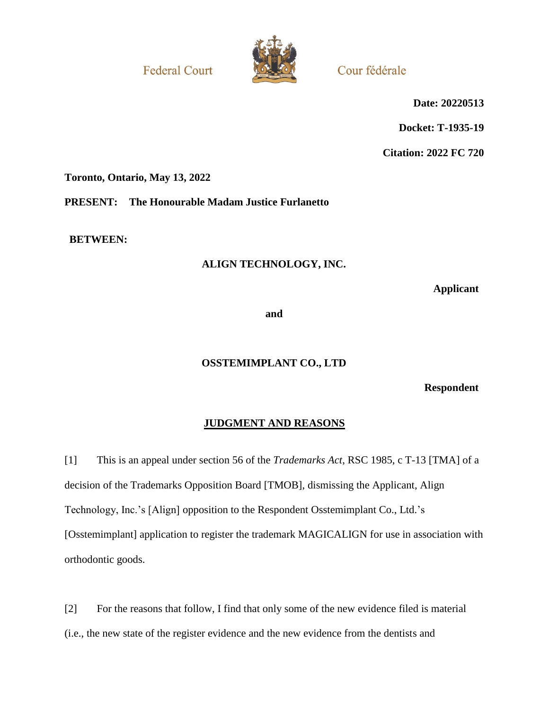**Federal Court** 



Cour fédérale

**Date: 20220513**

**Docket: T-1935-19**

**Citation: 2022 FC 720**

**Toronto, Ontario, May 13, 2022**

**PRESENT: The Honourable Madam Justice Furlanetto**

**BETWEEN:**

# **ALIGN TECHNOLOGY, INC.**

**Applicant**

**and**

# **OSSTEMIMPLANT CO., LTD**

**Respondent**

# **JUDGMENT AND REASONS**

[1] This is an appeal under section 56 of the *Trademarks Act*, RSC 1985, c T-13 [TMA] of a decision of the Trademarks Opposition Board [TMOB], dismissing the Applicant, Align Technology, Inc.'s [Align] opposition to the Respondent Osstemimplant Co., Ltd.'s [Osstemimplant] application to register the trademark MAGICALIGN for use in association with orthodontic goods.

[2] For the reasons that follow, I find that only some of the new evidence filed is material (i.e., the new state of the register evidence and the new evidence from the dentists and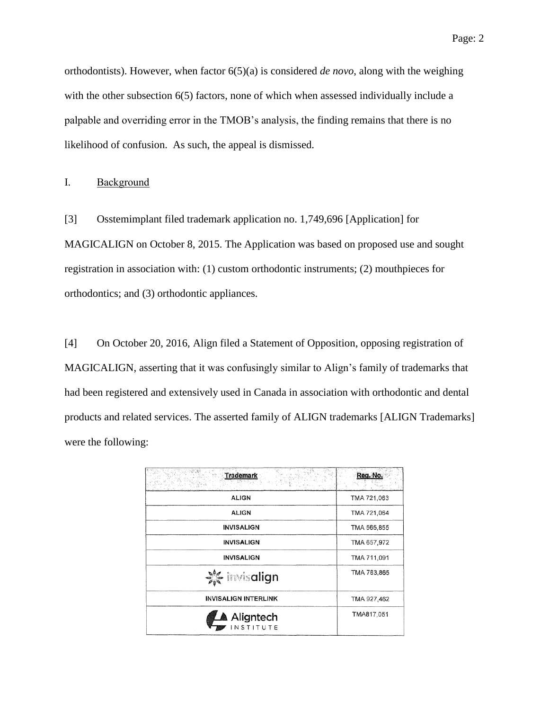orthodontists). However, when factor  $6(5)(a)$  is considered *de novo*, along with the weighing with the other subsection 6(5) factors, none of which when assessed individually include a palpable and overriding error in the TMOB's analysis, the finding remains that there is no likelihood of confusion. As such, the appeal is dismissed.

I. Background

[3] Osstemimplant filed trademark application no. 1,749,696 [Application] for MAGICALIGN on October 8, 2015. The Application was based on proposed use and sought registration in association with: (1) custom orthodontic instruments; (2) mouthpieces for orthodontics; and (3) orthodontic appliances.

[4] On October 20, 2016, Align filed a Statement of Opposition, opposing registration of MAGICALIGN, asserting that it was confusingly similar to Align's family of trademarks that had been registered and extensively used in Canada in association with orthodontic and dental products and related services. The asserted family of ALIGN trademarks [ALIGN Trademarks] were the following:

| <b>Trademark</b>            | Reg. No.    |
|-----------------------------|-------------|
| <b>ALIGN</b>                | TMA 721,063 |
| <b>ALIGN</b>                | TMA 721,064 |
| <b>INVISALIGN</b>           | TMA 565,855 |
| <b>INVISALIGN</b>           | TMA 657,972 |
| <b>INVISALIGN</b>           | TMA 711,091 |
| <b>X</b> invisalign         | TMA 783,865 |
| <b>INVISALIGN INTERLINK</b> | TMA 927,462 |
| <b>Aligntech</b>            | TMA817,051  |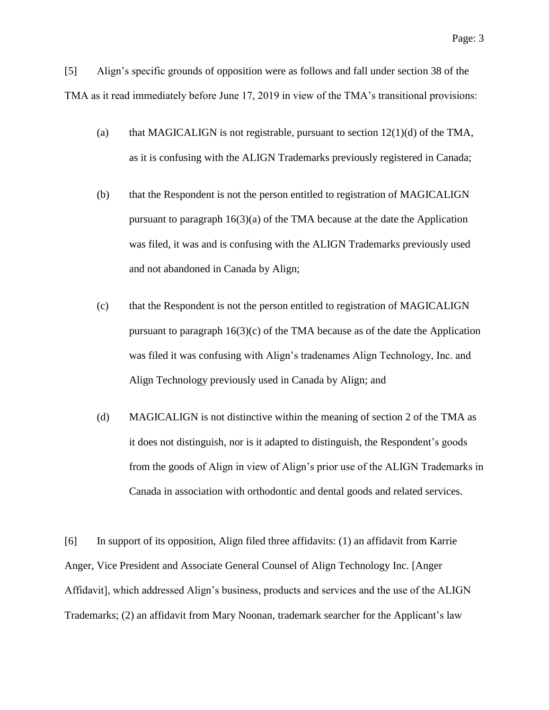[5] Align's specific grounds of opposition were as follows and fall under section 38 of the TMA as it read immediately before June 17, 2019 in view of the TMA's transitional provisions:

- (a) that MAGICALIGN is not registrable, pursuant to section  $12(1)(d)$  of the TMA, as it is confusing with the ALIGN Trademarks previously registered in Canada;
- (b) that the Respondent is not the person entitled to registration of MAGICALIGN pursuant to paragraph  $16(3)(a)$  of the TMA because at the date the Application was filed, it was and is confusing with the ALIGN Trademarks previously used and not abandoned in Canada by Align;
- (c) that the Respondent is not the person entitled to registration of MAGICALIGN pursuant to paragraph  $16(3)(c)$  of the TMA because as of the date the Application was filed it was confusing with Align's tradenames Align Technology, Inc. and Align Technology previously used in Canada by Align; and
- (d) MAGICALIGN is not distinctive within the meaning of section 2 of the TMA as it does not distinguish, nor is it adapted to distinguish, the Respondent's goods from the goods of Align in view of Align's prior use of the ALIGN Trademarks in Canada in association with orthodontic and dental goods and related services.

[6] In support of its opposition, Align filed three affidavits: (1) an affidavit from Karrie Anger, Vice President and Associate General Counsel of Align Technology Inc. [Anger Affidavit], which addressed Align's business, products and services and the use of the ALIGN Trademarks; (2) an affidavit from Mary Noonan, trademark searcher for the Applicant's law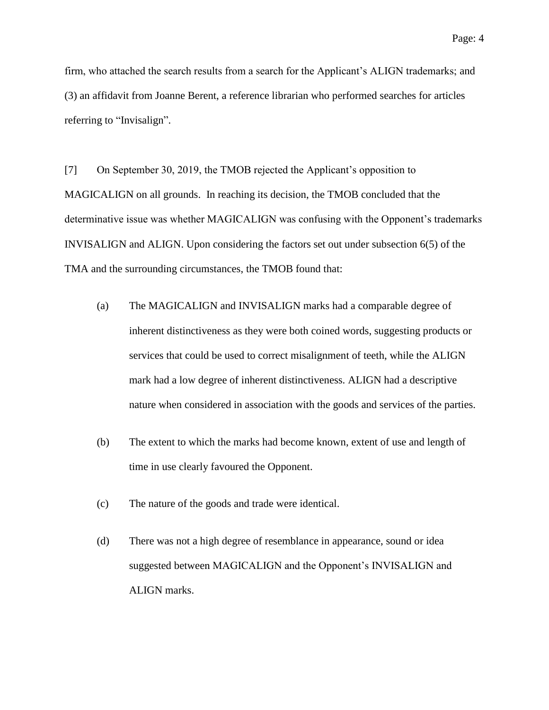firm, who attached the search results from a search for the Applicant's ALIGN trademarks; and (3) an affidavit from Joanne Berent, a reference librarian who performed searches for articles referring to "Invisalign".

[7] On September 30, 2019, the TMOB rejected the Applicant's opposition to MAGICALIGN on all grounds. In reaching its decision, the TMOB concluded that the determinative issue was whether MAGICALIGN was confusing with the Opponent's trademarks INVISALIGN and ALIGN. Upon considering the factors set out under subsection 6(5) of the TMA and the surrounding circumstances, the TMOB found that:

- (a) The MAGICALIGN and INVISALIGN marks had a comparable degree of inherent distinctiveness as they were both coined words, suggesting products or services that could be used to correct misalignment of teeth, while the ALIGN mark had a low degree of inherent distinctiveness. ALIGN had a descriptive nature when considered in association with the goods and services of the parties.
- (b) The extent to which the marks had become known, extent of use and length of time in use clearly favoured the Opponent.
- (c) The nature of the goods and trade were identical.
- (d) There was not a high degree of resemblance in appearance, sound or idea suggested between MAGICALIGN and the Opponent's INVISALIGN and ALIGN marks.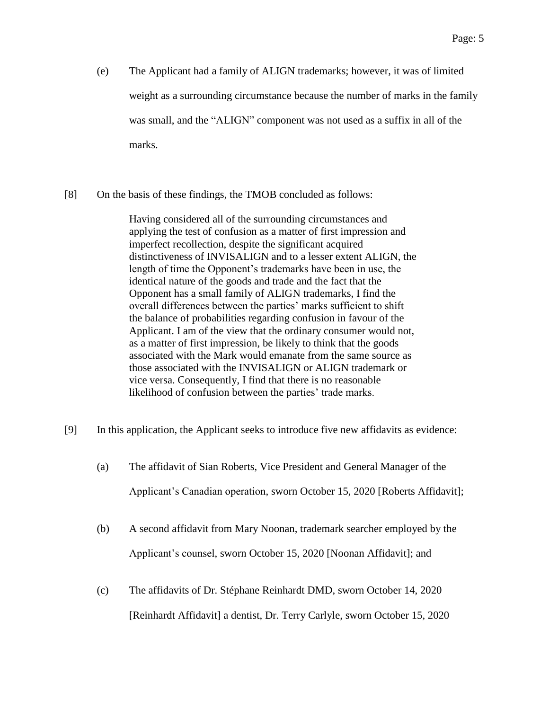- (e) The Applicant had a family of ALIGN trademarks; however, it was of limited weight as a surrounding circumstance because the number of marks in the family was small, and the "ALIGN" component was not used as a suffix in all of the marks.
- [8] On the basis of these findings, the TMOB concluded as follows:

Having considered all of the surrounding circumstances and applying the test of confusion as a matter of first impression and imperfect recollection, despite the significant acquired distinctiveness of INVISALIGN and to a lesser extent ALIGN, the length of time the Opponent's trademarks have been in use, the identical nature of the goods and trade and the fact that the Opponent has a small family of ALIGN trademarks, I find the overall differences between the parties' marks sufficient to shift the balance of probabilities regarding confusion in favour of the Applicant. I am of the view that the ordinary consumer would not, as a matter of first impression, be likely to think that the goods associated with the Mark would emanate from the same source as those associated with the INVISALIGN or ALIGN trademark or vice versa. Consequently, I find that there is no reasonable likelihood of confusion between the parties' trade marks.

- [9] In this application, the Applicant seeks to introduce five new affidavits as evidence:
	- (a) The affidavit of Sian Roberts, Vice President and General Manager of the Applicant's Canadian operation, sworn October 15, 2020 [Roberts Affidavit];
	- (b) A second affidavit from Mary Noonan, trademark searcher employed by the Applicant's counsel, sworn October 15, 2020 [Noonan Affidavit]; and
	- (c) The affidavits of Dr. Stéphane Reinhardt DMD, sworn October 14, 2020 [Reinhardt Affidavit] a dentist, Dr. Terry Carlyle, sworn October 15, 2020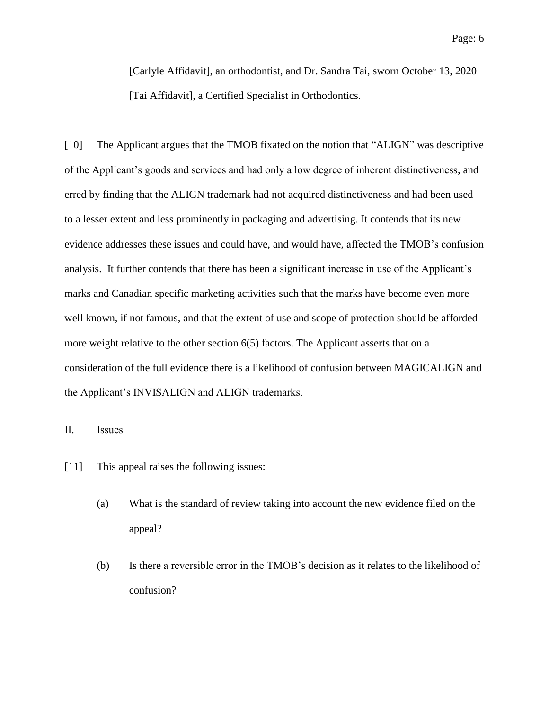[Carlyle Affidavit], an orthodontist, and Dr. Sandra Tai, sworn October 13, 2020 [Tai Affidavit], a Certified Specialist in Orthodontics.

[10] The Applicant argues that the TMOB fixated on the notion that "ALIGN" was descriptive of the Applicant's goods and services and had only a low degree of inherent distinctiveness, and erred by finding that the ALIGN trademark had not acquired distinctiveness and had been used to a lesser extent and less prominently in packaging and advertising. It contends that its new evidence addresses these issues and could have, and would have, affected the TMOB's confusion analysis. It further contends that there has been a significant increase in use of the Applicant's marks and Canadian specific marketing activities such that the marks have become even more well known, if not famous, and that the extent of use and scope of protection should be afforded more weight relative to the other section 6(5) factors. The Applicant asserts that on a consideration of the full evidence there is a likelihood of confusion between MAGICALIGN and the Applicant's INVISALIGN and ALIGN trademarks.

## II. Issues

- [11] This appeal raises the following issues:
	- (a) What is the standard of review taking into account the new evidence filed on the appeal?
	- (b) Is there a reversible error in the TMOB's decision as it relates to the likelihood of confusion?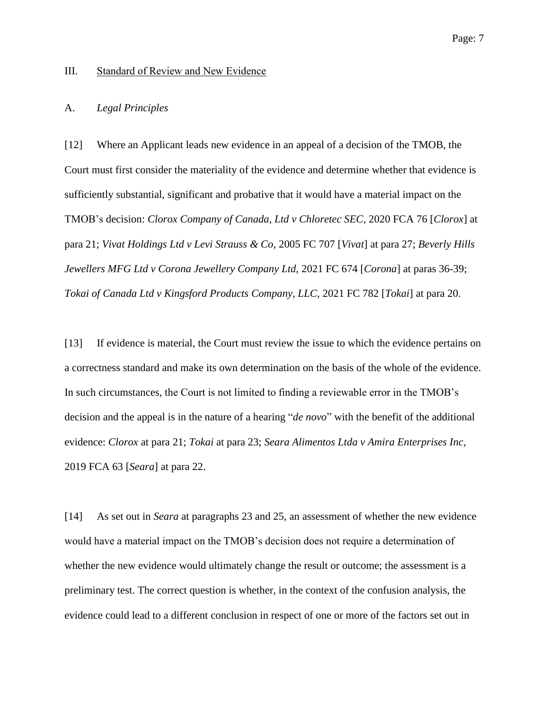#### III. Standard of Review and New Evidence

#### A. *Legal Principles*

[12] Where an Applicant leads new evidence in an appeal of a decision of the TMOB, the Court must first consider the materiality of the evidence and determine whether that evidence is sufficiently substantial, significant and probative that it would have a material impact on the TMOB's decision: *Clorox Company of Canada, Ltd v Chloretec SEC*, 2020 FCA 76 [*Clorox*] at para 21; *Vivat Holdings Ltd v Levi Strauss & Co,* 2005 FC 707 [*Vivat*] at para 27; *Beverly Hills Jewellers MFG Ltd v Corona Jewellery Company Ltd,* 2021 FC 674 [*Corona*] at paras 36-39; *Tokai of Canada Ltd v Kingsford Products Company, LLC,* 2021 FC 782 [*Tokai*] at para 20.

[13] If evidence is material, the Court must review the issue to which the evidence pertains on a correctness standard and make its own determination on the basis of the whole of the evidence. In such circumstances, the Court is not limited to finding a reviewable error in the TMOB's decision and the appeal is in the nature of a hearing "*de novo*" with the benefit of the additional evidence: *Clorox* at para 21; *Tokai* at para 23; *Seara Alimentos Ltda v Amira Enterprises Inc*, 2019 FCA 63 [*Seara*] at para 22.

[14] As set out in *Seara* at paragraphs 23 and 25, an assessment of whether the new evidence would have a material impact on the TMOB's decision does not require a determination of whether the new evidence would ultimately change the result or outcome; the assessment is a preliminary test. The correct question is whether, in the context of the confusion analysis, the evidence could lead to a different conclusion in respect of one or more of the factors set out in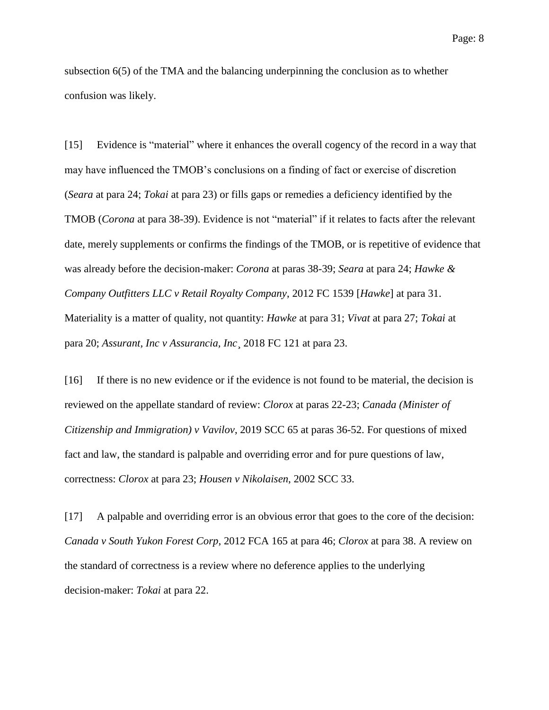subsection 6(5) of the TMA and the balancing underpinning the conclusion as to whether confusion was likely.

[15] Evidence is "material" where it enhances the overall cogency of the record in a way that may have influenced the TMOB's conclusions on a finding of fact or exercise of discretion (*Seara* at para 24; *Tokai* at para 23) or fills gaps or remedies a deficiency identified by the TMOB (*Corona* at para 38-39). Evidence is not "material" if it relates to facts after the relevant date, merely supplements or confirms the findings of the TMOB, or is repetitive of evidence that was already before the decision-maker: *Corona* at paras 38-39; *Seara* at para 24; *Hawke & Company Outfitters LLC v Retail Royalty Company*, 2012 FC 1539 [*Hawke*] at para 31. Materiality is a matter of quality, not quantity: *Hawke* at para 31; *Vivat* at para 27; *Tokai* at para 20; *Assurant, Inc v Assurancia, Inc*¸ 2018 FC 121 at para 23.

[16] If there is no new evidence or if the evidence is not found to be material, the decision is reviewed on the appellate standard of review: *Clorox* at paras 22-23; *Canada (Minister of Citizenship and Immigration) v Vavilov*, 2019 SCC 65 at paras 36-52. For questions of mixed fact and law, the standard is palpable and overriding error and for pure questions of law, correctness: *Clorox* at para 23; *Housen v Nikolaisen*, 2002 SCC 33.

[17] A palpable and overriding error is an obvious error that goes to the core of the decision: *Canada v South Yukon Forest Corp*, 2012 FCA 165 at para 46; *Clorox* at para 38. A review on the standard of correctness is a review where no deference applies to the underlying decision-maker: *Tokai* at para 22.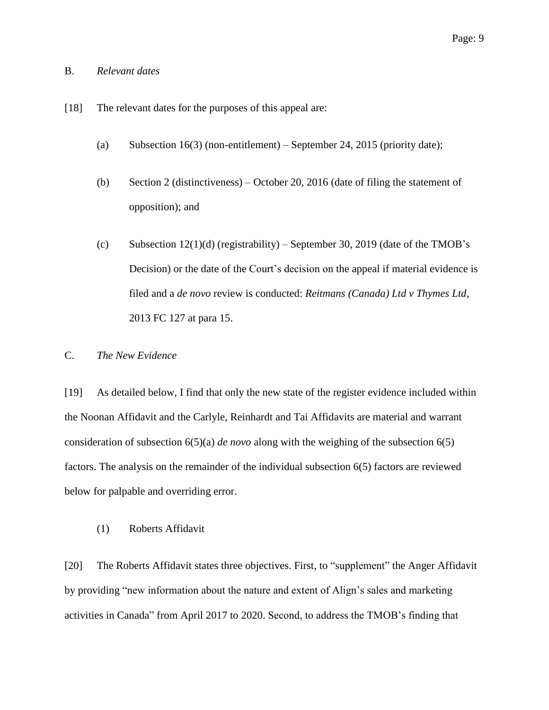## B. *Relevant dates*

- [18] The relevant dates for the purposes of this appeal are:
	- (a) Subsection  $16(3)$  (non-entitlement) September 24, 2015 (priority date);
	- (b) Section 2 (distinctiveness) October 20, 2016 (date of filing the statement of opposition); and
	- (c) Subsection  $12(1)(d)$  (registrability) September 30, 2019 (date of the TMOB's Decision) or the date of the Court's decision on the appeal if material evidence is filed and a *de novo* review is conducted: *Reitmans (Canada) Ltd v Thymes Ltd*, 2013 FC 127 at para 15.

## C. *The New Evidence*

[19] As detailed below, I find that only the new state of the register evidence included within the Noonan Affidavit and the Carlyle, Reinhardt and Tai Affidavits are material and warrant consideration of subsection 6(5)(a) *de novo* along with the weighing of the subsection 6(5) factors. The analysis on the remainder of the individual subsection 6(5) factors are reviewed below for palpable and overriding error.

(1) Roberts Affidavit

[20] The Roberts Affidavit states three objectives. First, to "supplement" the Anger Affidavit by providing "new information about the nature and extent of Align's sales and marketing activities in Canada" from April 2017 to 2020. Second, to address the TMOB's finding that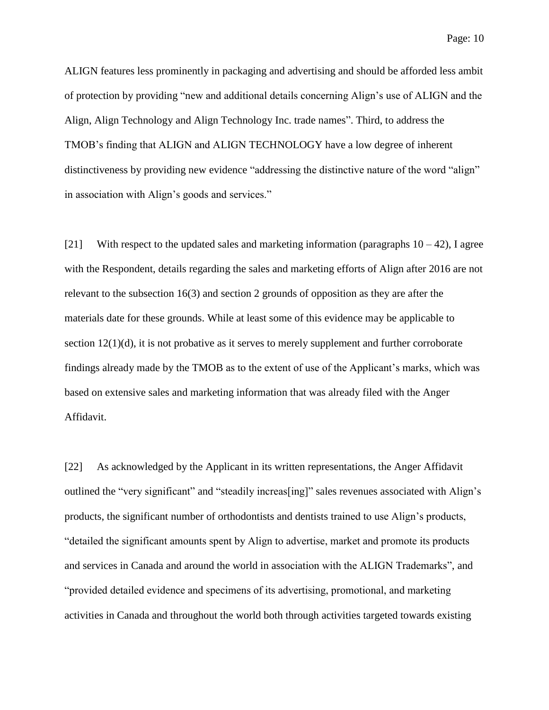ALIGN features less prominently in packaging and advertising and should be afforded less ambit of protection by providing "new and additional details concerning Align's use of ALIGN and the Align, Align Technology and Align Technology Inc. trade names". Third, to address the TMOB's finding that ALIGN and ALIGN TECHNOLOGY have a low degree of inherent distinctiveness by providing new evidence "addressing the distinctive nature of the word "align" in association with Align's goods and services."

[21] With respect to the updated sales and marketing information (paragraphs  $10 - 42$ ), I agree with the Respondent, details regarding the sales and marketing efforts of Align after 2016 are not relevant to the subsection 16(3) and section 2 grounds of opposition as they are after the materials date for these grounds. While at least some of this evidence may be applicable to section  $12(1)(d)$ , it is not probative as it serves to merely supplement and further corroborate findings already made by the TMOB as to the extent of use of the Applicant's marks, which was based on extensive sales and marketing information that was already filed with the Anger Affidavit.

[22] As acknowledged by the Applicant in its written representations, the Anger Affidavit outlined the "very significant" and "steadily increas[ing]" sales revenues associated with Align's products, the significant number of orthodontists and dentists trained to use Align's products, "detailed the significant amounts spent by Align to advertise, market and promote its products and services in Canada and around the world in association with the ALIGN Trademarks", and "provided detailed evidence and specimens of its advertising, promotional, and marketing activities in Canada and throughout the world both through activities targeted towards existing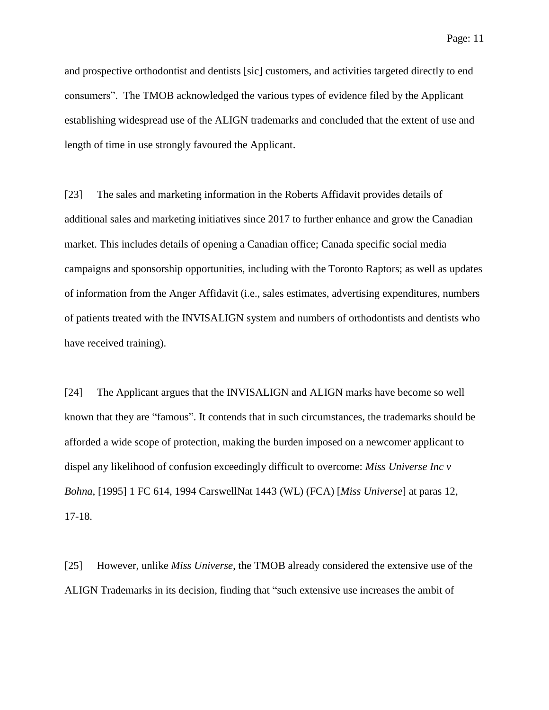and prospective orthodontist and dentists [sic] customers, and activities targeted directly to end consumers". The TMOB acknowledged the various types of evidence filed by the Applicant establishing widespread use of the ALIGN trademarks and concluded that the extent of use and length of time in use strongly favoured the Applicant.

[23] The sales and marketing information in the Roberts Affidavit provides details of additional sales and marketing initiatives since 2017 to further enhance and grow the Canadian market. This includes details of opening a Canadian office; Canada specific social media campaigns and sponsorship opportunities, including with the Toronto Raptors; as well as updates of information from the Anger Affidavit (i.e., sales estimates, advertising expenditures, numbers of patients treated with the INVISALIGN system and numbers of orthodontists and dentists who have received training).

[24] The Applicant argues that the INVISALIGN and ALIGN marks have become so well known that they are "famous". It contends that in such circumstances, the trademarks should be afforded a wide scope of protection, making the burden imposed on a newcomer applicant to dispel any likelihood of confusion exceedingly difficult to overcome: *Miss Universe Inc v Bohna*, [1995] 1 FC 614, 1994 CarswellNat 1443 (WL) (FCA) [*Miss Universe*] at paras 12, 17-18.

[25] However, unlike *Miss Universe*, the TMOB already considered the extensive use of the ALIGN Trademarks in its decision, finding that "such extensive use increases the ambit of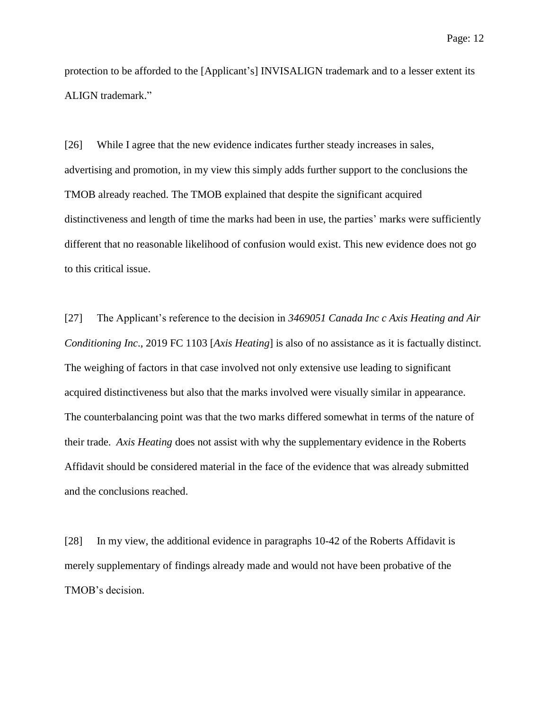protection to be afforded to the [Applicant's] INVISALIGN trademark and to a lesser extent its ALIGN trademark."

[26] While I agree that the new evidence indicates further steady increases in sales, advertising and promotion, in my view this simply adds further support to the conclusions the TMOB already reached. The TMOB explained that despite the significant acquired distinctiveness and length of time the marks had been in use, the parties' marks were sufficiently different that no reasonable likelihood of confusion would exist. This new evidence does not go to this critical issue.

[27] The Applicant's reference to the decision in *3469051 Canada Inc c Axis Heating and Air Conditioning Inc*., 2019 FC 1103 [*Axis Heating*] is also of no assistance as it is factually distinct. The weighing of factors in that case involved not only extensive use leading to significant acquired distinctiveness but also that the marks involved were visually similar in appearance. The counterbalancing point was that the two marks differed somewhat in terms of the nature of their trade. *Axis Heating* does not assist with why the supplementary evidence in the Roberts Affidavit should be considered material in the face of the evidence that was already submitted and the conclusions reached.

[28] In my view, the additional evidence in paragraphs 10-42 of the Roberts Affidavit is merely supplementary of findings already made and would not have been probative of the TMOB's decision.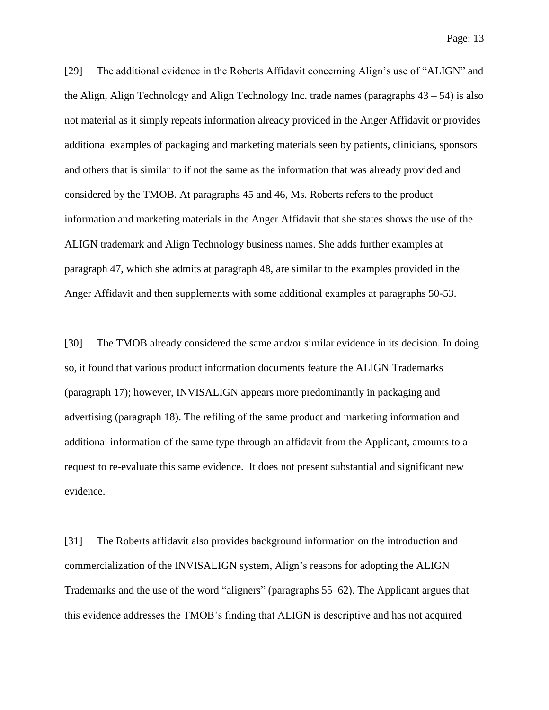[29] The additional evidence in the Roberts Affidavit concerning Align's use of "ALIGN" and the Align, Align Technology and Align Technology Inc. trade names (paragraphs  $43 - 54$ ) is also not material as it simply repeats information already provided in the Anger Affidavit or provides additional examples of packaging and marketing materials seen by patients, clinicians, sponsors and others that is similar to if not the same as the information that was already provided and considered by the TMOB. At paragraphs 45 and 46, Ms. Roberts refers to the product information and marketing materials in the Anger Affidavit that she states shows the use of the ALIGN trademark and Align Technology business names. She adds further examples at paragraph 47, which she admits at paragraph 48, are similar to the examples provided in the Anger Affidavit and then supplements with some additional examples at paragraphs 50-53.

[30] The TMOB already considered the same and/or similar evidence in its decision. In doing so, it found that various product information documents feature the ALIGN Trademarks (paragraph 17); however, INVISALIGN appears more predominantly in packaging and advertising (paragraph 18). The refiling of the same product and marketing information and additional information of the same type through an affidavit from the Applicant, amounts to a request to re-evaluate this same evidence. It does not present substantial and significant new evidence.

[31] The Roberts affidavit also provides background information on the introduction and commercialization of the INVISALIGN system, Align's reasons for adopting the ALIGN Trademarks and the use of the word "aligners" (paragraphs 55–62). The Applicant argues that this evidence addresses the TMOB's finding that ALIGN is descriptive and has not acquired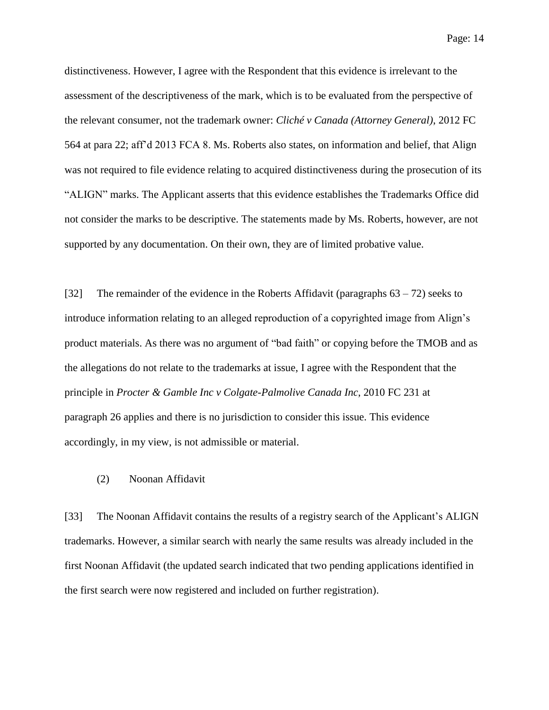Page: 14

distinctiveness. However, I agree with the Respondent that this evidence is irrelevant to the assessment of the descriptiveness of the mark, which is to be evaluated from the perspective of the relevant consumer, not the trademark owner: *Cliché v Canada (Attorney General)*, 2012 FC 564 at para 22; aff'd 2013 FCA 8. Ms. Roberts also states, on information and belief, that Align was not required to file evidence relating to acquired distinctiveness during the prosecution of its "ALIGN" marks. The Applicant asserts that this evidence establishes the Trademarks Office did not consider the marks to be descriptive. The statements made by Ms. Roberts, however, are not supported by any documentation. On their own, they are of limited probative value.

[32] The remainder of the evidence in the Roberts Affidavit (paragraphs 63 – 72) seeks to introduce information relating to an alleged reproduction of a copyrighted image from Align's product materials. As there was no argument of "bad faith" or copying before the TMOB and as the allegations do not relate to the trademarks at issue, I agree with the Respondent that the principle in *Procter & Gamble Inc v Colgate-Palmolive Canada Inc*, 2010 FC 231 at paragraph 26 applies and there is no jurisdiction to consider this issue. This evidence accordingly, in my view, is not admissible or material.

#### (2) Noonan Affidavit

[33] The Noonan Affidavit contains the results of a registry search of the Applicant's ALIGN trademarks. However, a similar search with nearly the same results was already included in the first Noonan Affidavit (the updated search indicated that two pending applications identified in the first search were now registered and included on further registration).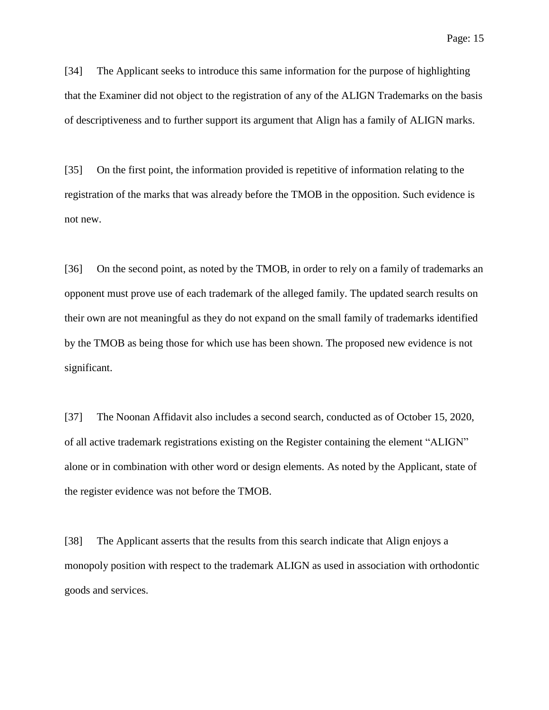[34] The Applicant seeks to introduce this same information for the purpose of highlighting that the Examiner did not object to the registration of any of the ALIGN Trademarks on the basis of descriptiveness and to further support its argument that Align has a family of ALIGN marks.

[35] On the first point, the information provided is repetitive of information relating to the registration of the marks that was already before the TMOB in the opposition. Such evidence is not new.

[36] On the second point, as noted by the TMOB, in order to rely on a family of trademarks an opponent must prove use of each trademark of the alleged family. The updated search results on their own are not meaningful as they do not expand on the small family of trademarks identified by the TMOB as being those for which use has been shown. The proposed new evidence is not significant.

[37] The Noonan Affidavit also includes a second search, conducted as of October 15, 2020, of all active trademark registrations existing on the Register containing the element "ALIGN" alone or in combination with other word or design elements. As noted by the Applicant, state of the register evidence was not before the TMOB.

[38] The Applicant asserts that the results from this search indicate that Align enjoys a monopoly position with respect to the trademark ALIGN as used in association with orthodontic goods and services.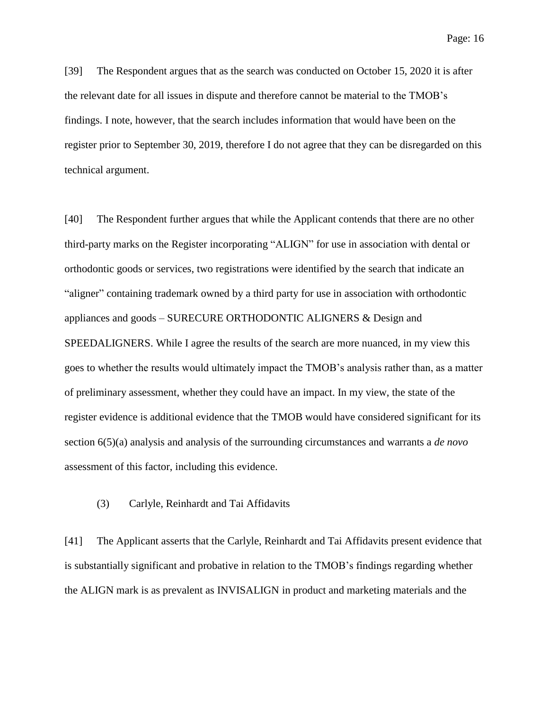[39] The Respondent argues that as the search was conducted on October 15, 2020 it is after the relevant date for all issues in dispute and therefore cannot be material to the TMOB's findings. I note, however, that the search includes information that would have been on the register prior to September 30, 2019, therefore I do not agree that they can be disregarded on this technical argument.

[40] The Respondent further argues that while the Applicant contends that there are no other third-party marks on the Register incorporating "ALIGN" for use in association with dental or orthodontic goods or services, two registrations were identified by the search that indicate an "aligner" containing trademark owned by a third party for use in association with orthodontic appliances and goods – SURECURE ORTHODONTIC ALIGNERS & Design and SPEEDALIGNERS. While I agree the results of the search are more nuanced, in my view this goes to whether the results would ultimately impact the TMOB's analysis rather than, as a matter of preliminary assessment, whether they could have an impact. In my view, the state of the register evidence is additional evidence that the TMOB would have considered significant for its section 6(5)(a) analysis and analysis of the surrounding circumstances and warrants a *de novo* assessment of this factor, including this evidence.

#### (3) Carlyle, Reinhardt and Tai Affidavits

[41] The Applicant asserts that the Carlyle, Reinhardt and Tai Affidavits present evidence that is substantially significant and probative in relation to the TMOB's findings regarding whether the ALIGN mark is as prevalent as INVISALIGN in product and marketing materials and the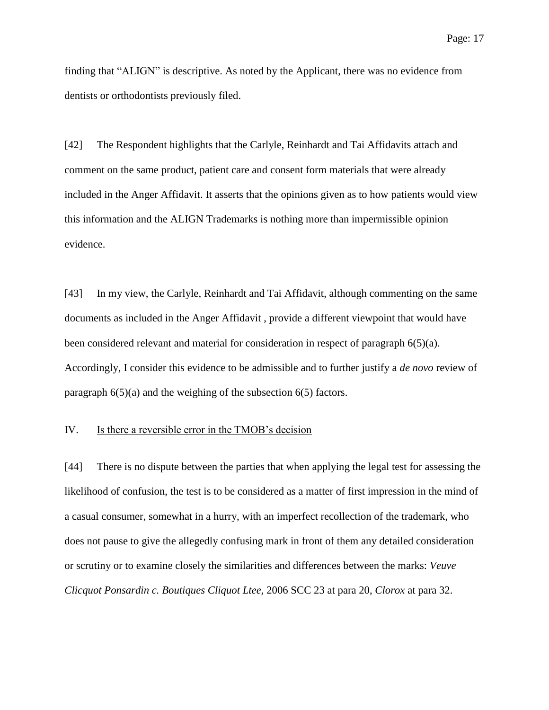finding that "ALIGN" is descriptive. As noted by the Applicant, there was no evidence from dentists or orthodontists previously filed.

[42] The Respondent highlights that the Carlyle, Reinhardt and Tai Affidavits attach and comment on the same product, patient care and consent form materials that were already included in the Anger Affidavit. It asserts that the opinions given as to how patients would view this information and the ALIGN Trademarks is nothing more than impermissible opinion evidence.

[43] In my view, the Carlyle, Reinhardt and Tai Affidavit, although commenting on the same documents as included in the Anger Affidavit , provide a different viewpoint that would have been considered relevant and material for consideration in respect of paragraph 6(5)(a). Accordingly, I consider this evidence to be admissible and to further justify a *de novo* review of paragraph 6(5)(a) and the weighing of the subsection 6(5) factors.

#### IV. Is there a reversible error in the TMOB's decision

[44] There is no dispute between the parties that when applying the legal test for assessing the likelihood of confusion, the test is to be considered as a matter of first impression in the mind of a casual consumer, somewhat in a hurry, with an imperfect recollection of the trademark, who does not pause to give the allegedly confusing mark in front of them any detailed consideration or scrutiny or to examine closely the similarities and differences between the marks: *Veuve Clicquot Ponsardin c. Boutiques Cliquot Ltee,* 2006 SCC 23 at para 20, *Clorox* at para 32.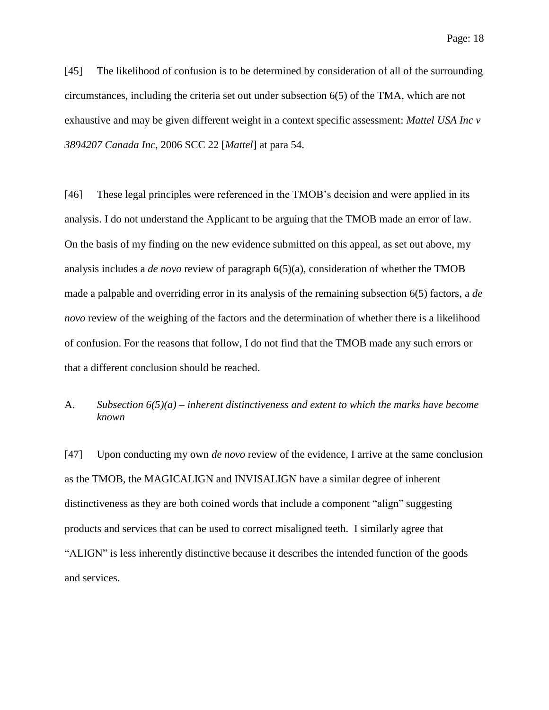[45] The likelihood of confusion is to be determined by consideration of all of the surrounding circumstances, including the criteria set out under subsection 6(5) of the TMA, which are not exhaustive and may be given different weight in a context specific assessment: *Mattel USA Inc v 3894207 Canada Inc*, 2006 SCC 22 [*Mattel*] at para 54.

[46] These legal principles were referenced in the TMOB's decision and were applied in its analysis. I do not understand the Applicant to be arguing that the TMOB made an error of law. On the basis of my finding on the new evidence submitted on this appeal, as set out above, my analysis includes a *de novo* review of paragraph 6(5)(a), consideration of whether the TMOB made a palpable and overriding error in its analysis of the remaining subsection 6(5) factors, a *de novo* review of the weighing of the factors and the determination of whether there is a likelihood of confusion. For the reasons that follow, I do not find that the TMOB made any such errors or that a different conclusion should be reached.

# A. *Subsection 6(5)(a) – inherent distinctiveness and extent to which the marks have become known*

[47] Upon conducting my own *de novo* review of the evidence, I arrive at the same conclusion as the TMOB, the MAGICALIGN and INVISALIGN have a similar degree of inherent distinctiveness as they are both coined words that include a component "align" suggesting products and services that can be used to correct misaligned teeth. I similarly agree that "ALIGN" is less inherently distinctive because it describes the intended function of the goods and services.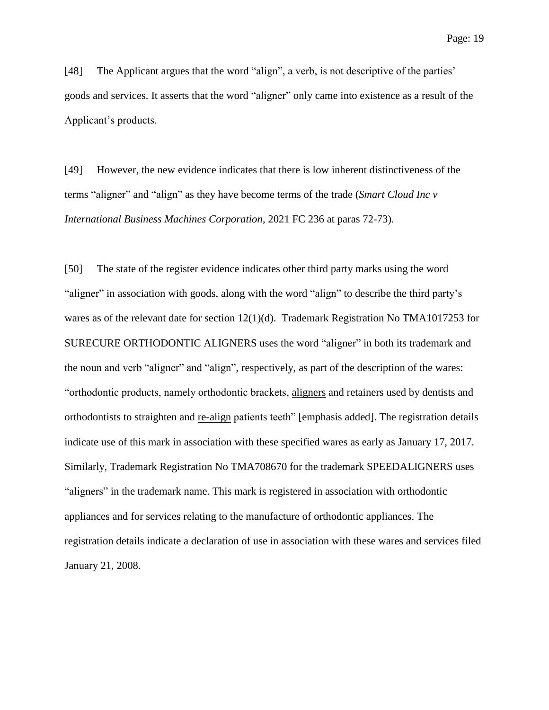[48] The Applicant argues that the word "align", a verb, is not descriptive of the parties' goods and services. It asserts that the word "aligner" only came into existence as a result of the Applicant's products.

[49] However, the new evidence indicates that there is low inherent distinctiveness of the terms "aligner" and "align" as they have become terms of the trade (*Smart Cloud Inc v International Business Machines Corporation*, 2021 FC 236 at paras 72-73).

[50] The state of the register evidence indicates other third party marks using the word "aligner" in association with goods, along with the word "align" to describe the third party's wares as of the relevant date for section 12(1)(d). Trademark Registration No TMA1017253 for SURECURE ORTHODONTIC ALIGNERS uses the word "aligner" in both its trademark and the noun and verb "aligner" and "align", respectively, as part of the description of the wares: "orthodontic products, namely orthodontic brackets, aligners and retainers used by dentists and orthodontists to straighten and re-align patients teeth" [emphasis added]. The registration details indicate use of this mark in association with these specified wares as early as January 17, 2017. Similarly, Trademark Registration No TMA708670 for the trademark SPEEDALIGNERS uses "aligners" in the trademark name. This mark is registered in association with orthodontic appliances and for services relating to the manufacture of orthodontic appliances. The registration details indicate a declaration of use in association with these wares and services filed January 21, 2008.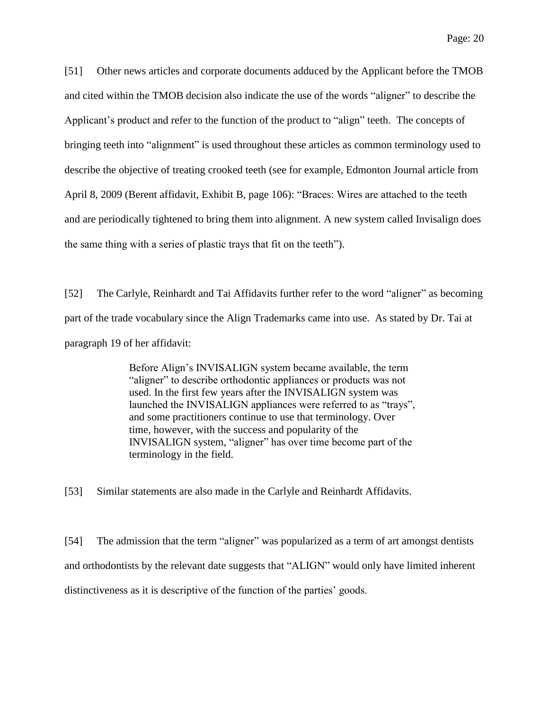[51] Other news articles and corporate documents adduced by the Applicant before the TMOB and cited within the TMOB decision also indicate the use of the words "aligner" to describe the Applicant's product and refer to the function of the product to "align" teeth. The concepts of bringing teeth into "alignment" is used throughout these articles as common terminology used to describe the objective of treating crooked teeth (see for example, Edmonton Journal article from April 8, 2009 (Berent affidavit, Exhibit B, page 106): "Braces: Wires are attached to the teeth and are periodically tightened to bring them into alignment. A new system called Invisalign does the same thing with a series of plastic trays that fit on the teeth").

[52] The Carlyle, Reinhardt and Tai Affidavits further refer to the word "aligner" as becoming part of the trade vocabulary since the Align Trademarks came into use. As stated by Dr. Tai at paragraph 19 of her affidavit:

> Before Align's INVISALIGN system became available, the term "aligner" to describe orthodontic appliances or products was not used. In the first few years after the INVISALIGN system was launched the INVISALIGN appliances were referred to as "trays", and some practitioners continue to use that terminology. Over time, however, with the success and popularity of the INVISALIGN system, "aligner" has over time become part of the terminology in the field.

[53] Similar statements are also made in the Carlyle and Reinhardt Affidavits.

[54] The admission that the term "aligner" was popularized as a term of art amongst dentists and orthodontists by the relevant date suggests that "ALIGN" would only have limited inherent distinctiveness as it is descriptive of the function of the parties' goods.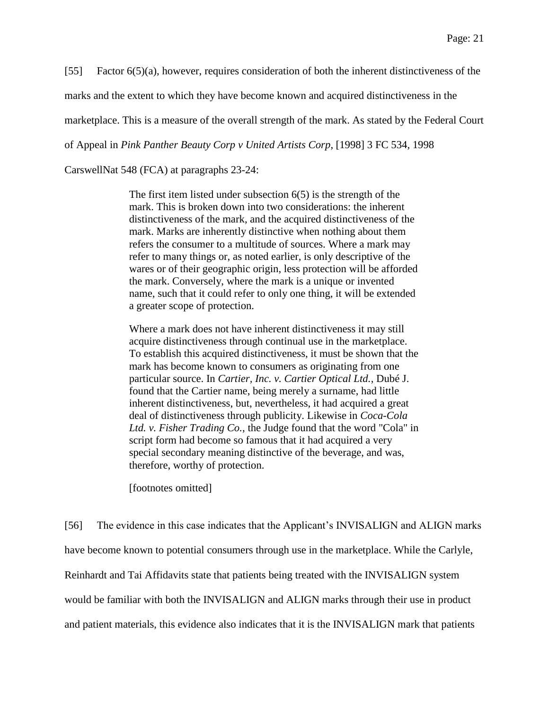[55] Factor 6(5)(a), however, requires consideration of both the inherent distinctiveness of the

marks and the extent to which they have become known and acquired distinctiveness in the

marketplace. This is a measure of the overall strength of the mark. As stated by the Federal Court

of Appeal in *Pink Panther Beauty Corp v United Artists Corp*, [1998] 3 FC 534, 1998

CarswellNat 548 (FCA) at paragraphs 23-24:

The first item listed under subsection  $6(5)$  is the strength of the mark. This is broken down into two considerations: the inherent distinctiveness of the mark, and the acquired distinctiveness of the mark. Marks are inherently distinctive when nothing about them refers the consumer to a multitude of sources. Where a mark may refer to many things or, as noted earlier, is only descriptive of the wares or of their geographic origin, less protection will be afforded the mark. Conversely, where the mark is a unique or invented name, such that it could refer to only one thing, it will be extended a greater scope of protection.

Where a mark does not have inherent distinctiveness it may still acquire distinctiveness through continual use in the marketplace. To establish this acquired distinctiveness, it must be shown that the mark has become known to consumers as originating from one particular source. In *Cartier, Inc. v. Cartier Optical Ltd.*, Dubé J. found that the Cartier name, being merely a surname, had little inherent distinctiveness, but, nevertheless, it had acquired a great deal of distinctiveness through publicity. Likewise in *Coca-Cola Ltd. v. Fisher Trading Co.*, the Judge found that the word "Cola" in script form had become so famous that it had acquired a very special secondary meaning distinctive of the beverage, and was, therefore, worthy of protection.

[footnotes omitted]

[56] The evidence in this case indicates that the Applicant's INVISALIGN and ALIGN marks have become known to potential consumers through use in the marketplace. While the Carlyle, Reinhardt and Tai Affidavits state that patients being treated with the INVISALIGN system would be familiar with both the INVISALIGN and ALIGN marks through their use in product and patient materials, this evidence also indicates that it is the INVISALIGN mark that patients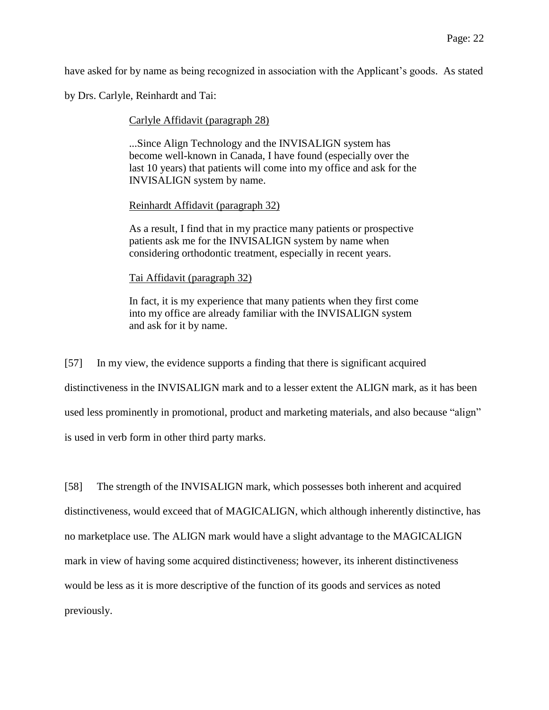have asked for by name as being recognized in association with the Applicant's goods. As stated

by Drs. Carlyle, Reinhardt and Tai:

Carlyle Affidavit (paragraph 28)

...Since Align Technology and the INVISALIGN system has become well-known in Canada, I have found (especially over the last 10 years) that patients will come into my office and ask for the INVISALIGN system by name.

Reinhardt Affidavit (paragraph 32)

As a result, I find that in my practice many patients or prospective patients ask me for the INVISALIGN system by name when considering orthodontic treatment, especially in recent years.

Tai Affidavit (paragraph 32)

In fact, it is my experience that many patients when they first come into my office are already familiar with the INVISALIGN system and ask for it by name.

[57] In my view, the evidence supports a finding that there is significant acquired distinctiveness in the INVISALIGN mark and to a lesser extent the ALIGN mark, as it has been used less prominently in promotional, product and marketing materials, and also because "align" is used in verb form in other third party marks.

[58] The strength of the INVISALIGN mark, which possesses both inherent and acquired distinctiveness, would exceed that of MAGICALIGN, which although inherently distinctive, has no marketplace use. The ALIGN mark would have a slight advantage to the MAGICALIGN mark in view of having some acquired distinctiveness; however, its inherent distinctiveness would be less as it is more descriptive of the function of its goods and services as noted previously.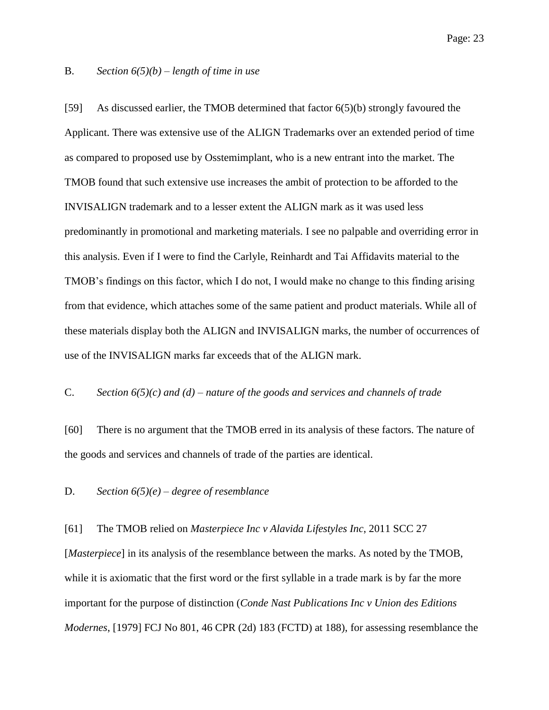#### B. *Section 6(5)(b) – length of time in use*

[59] As discussed earlier, the TMOB determined that factor 6(5)(b) strongly favoured the Applicant. There was extensive use of the ALIGN Trademarks over an extended period of time as compared to proposed use by Osstemimplant, who is a new entrant into the market. The TMOB found that such extensive use increases the ambit of protection to be afforded to the INVISALIGN trademark and to a lesser extent the ALIGN mark as it was used less predominantly in promotional and marketing materials. I see no palpable and overriding error in this analysis. Even if I were to find the Carlyle, Reinhardt and Tai Affidavits material to the TMOB's findings on this factor, which I do not, I would make no change to this finding arising from that evidence, which attaches some of the same patient and product materials. While all of these materials display both the ALIGN and INVISALIGN marks, the number of occurrences of use of the INVISALIGN marks far exceeds that of the ALIGN mark.

#### C. *Section 6(5)(c) and (d) – nature of the goods and services and channels of trade*

[60] There is no argument that the TMOB erred in its analysis of these factors. The nature of the goods and services and channels of trade of the parties are identical.

#### D. *Section 6(5)(e) – degree of resemblance*

#### [61] The TMOB relied on *Masterpiece Inc v Alavida Lifestyles Inc*, 2011 SCC 27

[*Masterpiece*] in its analysis of the resemblance between the marks. As noted by the TMOB, while it is axiomatic that the first word or the first syllable in a trade mark is by far the more important for the purpose of distinction (*Conde Nast Publications Inc v Union des Editions Modernes*, [1979] FCJ No 801, 46 CPR (2d) 183 (FCTD) at 188), for assessing resemblance the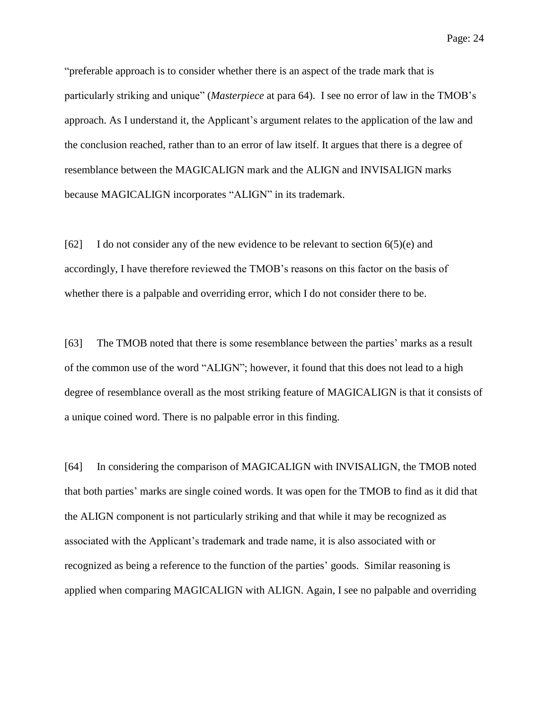"preferable approach is to consider whether there is an aspect of the trade mark that is particularly striking and unique" (*Masterpiece* at para 64). I see no error of law in the TMOB's approach. As I understand it, the Applicant's argument relates to the application of the law and the conclusion reached, rather than to an error of law itself. It argues that there is a degree of resemblance between the MAGICALIGN mark and the ALIGN and INVISALIGN marks because MAGICALIGN incorporates "ALIGN" in its trademark.

[62] I do not consider any of the new evidence to be relevant to section 6(5)(e) and accordingly, I have therefore reviewed the TMOB's reasons on this factor on the basis of whether there is a palpable and overriding error, which I do not consider there to be.

[63] The TMOB noted that there is some resemblance between the parties' marks as a result of the common use of the word "ALIGN"; however, it found that this does not lead to a high degree of resemblance overall as the most striking feature of MAGICALIGN is that it consists of a unique coined word. There is no palpable error in this finding.

[64] In considering the comparison of MAGICALIGN with INVISALIGN, the TMOB noted that both parties' marks are single coined words. It was open for the TMOB to find as it did that the ALIGN component is not particularly striking and that while it may be recognized as associated with the Applicant's trademark and trade name, it is also associated with or recognized as being a reference to the function of the parties' goods. Similar reasoning is applied when comparing MAGICALIGN with ALIGN. Again, I see no palpable and overriding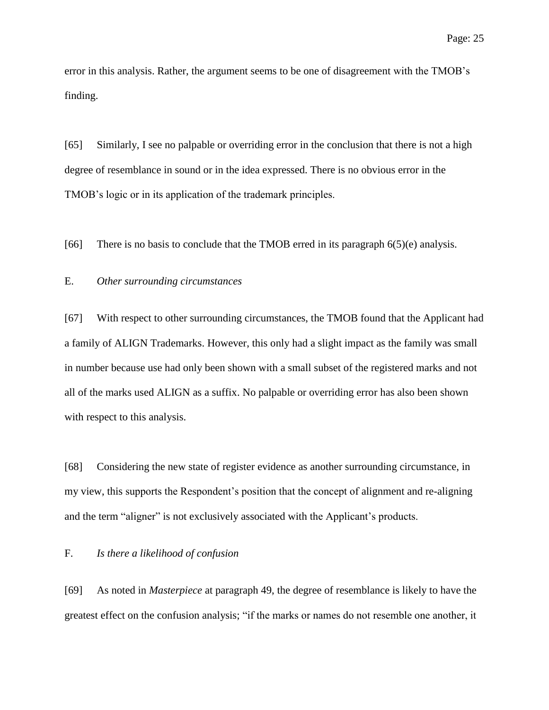error in this analysis. Rather, the argument seems to be one of disagreement with the TMOB's finding.

[65] Similarly, I see no palpable or overriding error in the conclusion that there is not a high degree of resemblance in sound or in the idea expressed. There is no obvious error in the TMOB's logic or in its application of the trademark principles.

[66] There is no basis to conclude that the TMOB erred in its paragraph 6(5)(e) analysis.

#### E. *Other surrounding circumstances*

[67] With respect to other surrounding circumstances, the TMOB found that the Applicant had a family of ALIGN Trademarks. However, this only had a slight impact as the family was small in number because use had only been shown with a small subset of the registered marks and not all of the marks used ALIGN as a suffix. No palpable or overriding error has also been shown with respect to this analysis.

[68] Considering the new state of register evidence as another surrounding circumstance, in my view, this supports the Respondent's position that the concept of alignment and re-aligning and the term "aligner" is not exclusively associated with the Applicant's products.

#### F. *Is there a likelihood of confusion*

[69] As noted in *Masterpiece* at paragraph 49, the degree of resemblance is likely to have the greatest effect on the confusion analysis; "if the marks or names do not resemble one another, it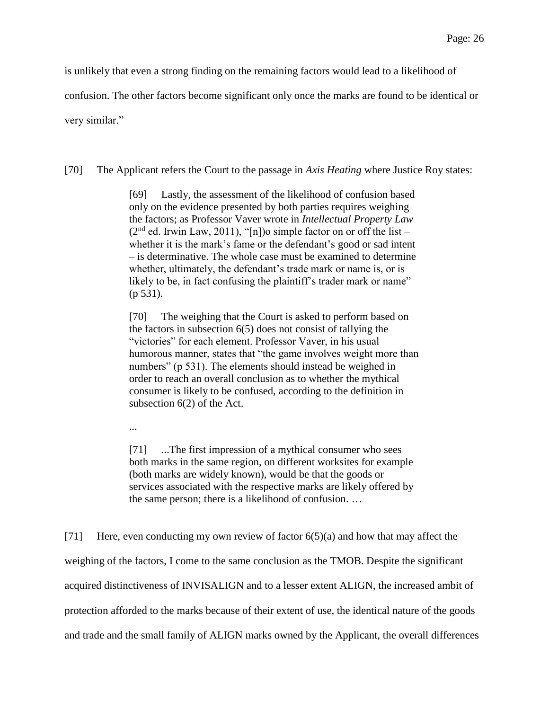is unlikely that even a strong finding on the remaining factors would lead to a likelihood of

confusion. The other factors become significant only once the marks are found to be identical or

very similar."

[70] The Applicant refers the Court to the passage in *Axis Heating* where Justice Roy states:

[69] Lastly, the assessment of the likelihood of confusion based only on the evidence presented by both parties requires weighing the factors; as Professor Vaver wrote in *Intellectual Property Law*  $(2<sup>nd</sup>$  ed. Irwin Law, 2011), "[n])o simple factor on or off the list – whether it is the mark's fame or the defendant's good or sad intent – is determinative. The whole case must be examined to determine whether, ultimately, the defendant's trade mark or name is, or is likely to be, in fact confusing the plaintiff's trader mark or name" (p 531).

[70] The weighing that the Court is asked to perform based on the factors in subsection 6(5) does not consist of tallying the "victories" for each element. Professor Vaver, in his usual humorous manner, states that "the game involves weight more than numbers" (p 531). The elements should instead be weighed in order to reach an overall conclusion as to whether the mythical consumer is likely to be confused, according to the definition in subsection 6(2) of the Act.

...

[71] ...The first impression of a mythical consumer who sees both marks in the same region, on different worksites for example (both marks are widely known), would be that the goods or services associated with the respective marks are likely offered by the same person; there is a likelihood of confusion. …

[71] Here, even conducting my own review of factor 6(5)(a) and how that may affect the weighing of the factors, I come to the same conclusion as the TMOB. Despite the significant acquired distinctiveness of INVISALIGN and to a lesser extent ALIGN, the increased ambit of protection afforded to the marks because of their extent of use, the identical nature of the goods and trade and the small family of ALIGN marks owned by the Applicant, the overall differences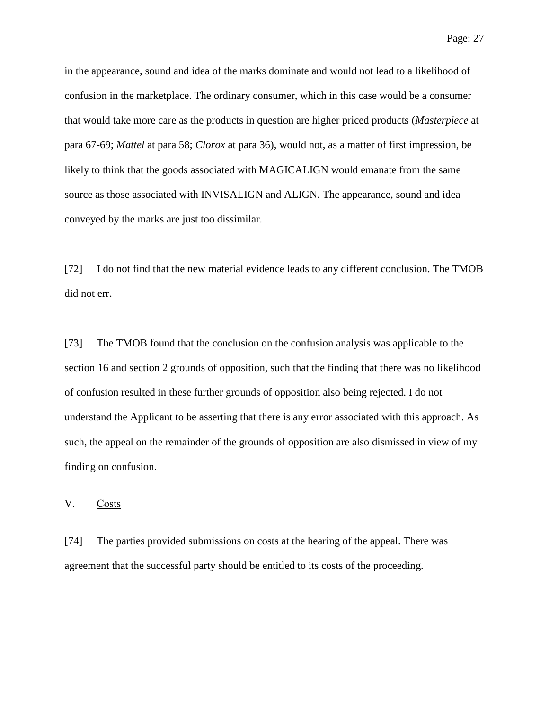in the appearance, sound and idea of the marks dominate and would not lead to a likelihood of confusion in the marketplace. The ordinary consumer, which in this case would be a consumer that would take more care as the products in question are higher priced products (*Masterpiece* at para 67-69; *Mattel* at para 58; *Clorox* at para 36), would not, as a matter of first impression, be likely to think that the goods associated with MAGICALIGN would emanate from the same

conveyed by the marks are just too dissimilar.

[72] I do not find that the new material evidence leads to any different conclusion. The TMOB did not err.

source as those associated with INVISALIGN and ALIGN. The appearance, sound and idea

[73] The TMOB found that the conclusion on the confusion analysis was applicable to the section 16 and section 2 grounds of opposition, such that the finding that there was no likelihood of confusion resulted in these further grounds of opposition also being rejected. I do not understand the Applicant to be asserting that there is any error associated with this approach. As such, the appeal on the remainder of the grounds of opposition are also dismissed in view of my finding on confusion.

V. Costs

[74] The parties provided submissions on costs at the hearing of the appeal. There was agreement that the successful party should be entitled to its costs of the proceeding.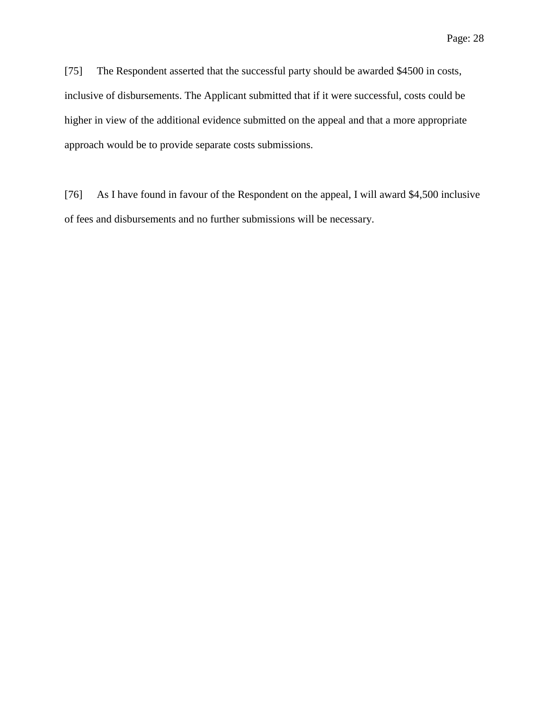[75] The Respondent asserted that the successful party should be awarded \$4500 in costs, inclusive of disbursements. The Applicant submitted that if it were successful, costs could be higher in view of the additional evidence submitted on the appeal and that a more appropriate approach would be to provide separate costs submissions.

[76] As I have found in favour of the Respondent on the appeal, I will award \$4,500 inclusive of fees and disbursements and no further submissions will be necessary.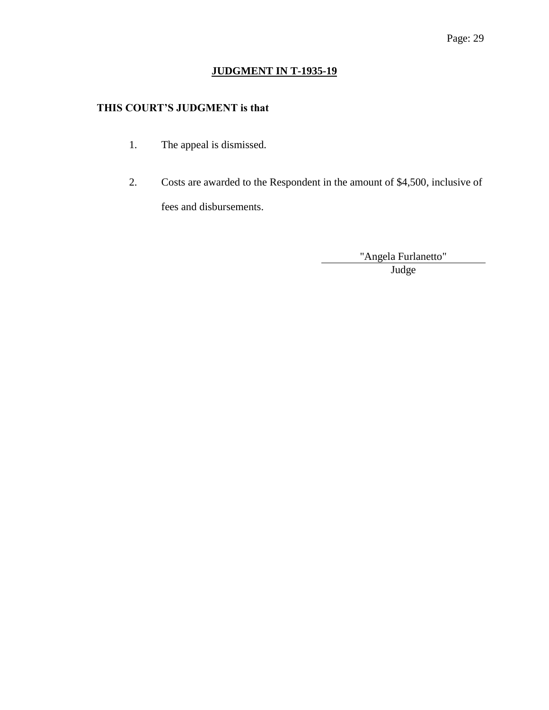# **JUDGMENT IN T-1935-19**

# **THIS COURT'S JUDGMENT is that**

- 1. The appeal is dismissed.
- 2. Costs are awarded to the Respondent in the amount of \$4,500, inclusive of fees and disbursements.

"Angela Furlanetto" Judge